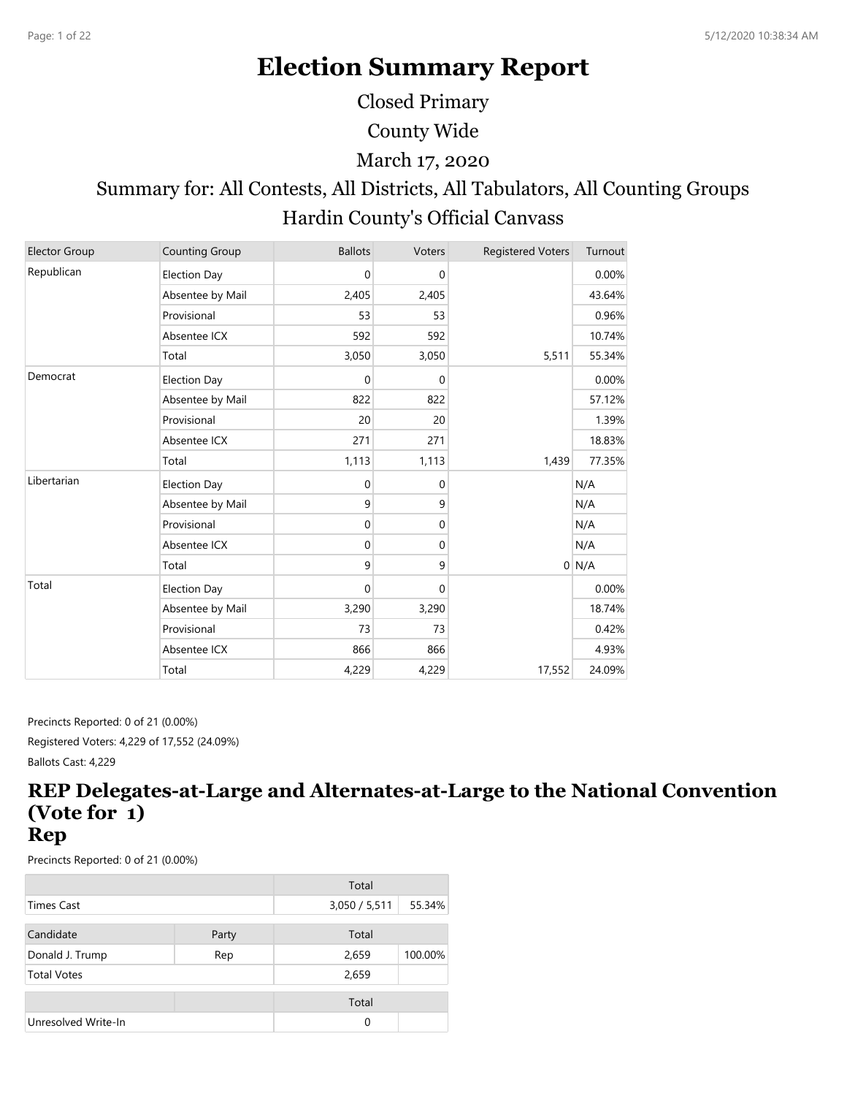# **Election Summary Report**

Closed Primary

County Wide

#### March 17, 2020

# Summary for: All Contests, All Districts, All Tabulators, All Counting Groups Hardin County's Official Canvass

| <b>Elector Group</b> | <b>Counting Group</b> | <b>Ballots</b> | Voters      | <b>Registered Voters</b> | Turnout |
|----------------------|-----------------------|----------------|-------------|--------------------------|---------|
| Republican           | <b>Election Day</b>   | $\mathbf 0$    | 0           |                          | 0.00%   |
|                      | Absentee by Mail      | 2,405          | 2,405       |                          | 43.64%  |
|                      | Provisional           | 53             | 53          |                          | 0.96%   |
|                      | Absentee ICX          | 592            | 592         |                          | 10.74%  |
|                      | Total                 | 3,050          | 3,050       | 5,511                    | 55.34%  |
| Democrat             | <b>Election Day</b>   | $\mathbf 0$    | $\mathbf 0$ |                          | 0.00%   |
|                      | Absentee by Mail      | 822            | 822         |                          | 57.12%  |
|                      | Provisional           | 20             | 20          |                          | 1.39%   |
|                      | Absentee ICX          | 271            | 271         |                          | 18.83%  |
|                      | Total                 | 1,113          | 1,113       | 1,439                    | 77.35%  |
| Libertarian          | <b>Election Day</b>   | $\mathbf 0$    | 0           |                          | N/A     |
|                      | Absentee by Mail      | 9              | 9           |                          | N/A     |
|                      | Provisional           | $\mathbf 0$    | 0           |                          | N/A     |
|                      | Absentee ICX          | $\mathbf 0$    | 0           |                          | N/A     |
|                      | Total                 | 9              | 9           |                          | $0$ N/A |
| Total                | <b>Election Day</b>   | $\mathbf 0$    | $\Omega$    |                          | 0.00%   |
|                      | Absentee by Mail      | 3,290          | 3,290       |                          | 18.74%  |
|                      | Provisional           | 73             | 73          |                          | 0.42%   |
|                      | Absentee ICX          | 866            | 866         |                          | 4.93%   |
|                      | Total                 | 4,229          | 4,229       | 17,552                   | 24.09%  |

Precincts Reported: 0 of 21 (0.00%) Registered Voters: 4,229 of 17,552 (24.09%) Ballots Cast: 4,229

#### **REP Delegates-at-Large and Alternates-at-Large to the National Convention (Vote for 1) Rep**

|                     |       | Total         |         |
|---------------------|-------|---------------|---------|
| Times Cast          |       | 3,050 / 5,511 | 55.34%  |
| Candidate           | Party | Total         |         |
| Donald J. Trump     | Rep   | 2,659         | 100.00% |
| <b>Total Votes</b>  |       | 2,659         |         |
|                     |       | Total         |         |
| Unresolved Write-In |       | 0             |         |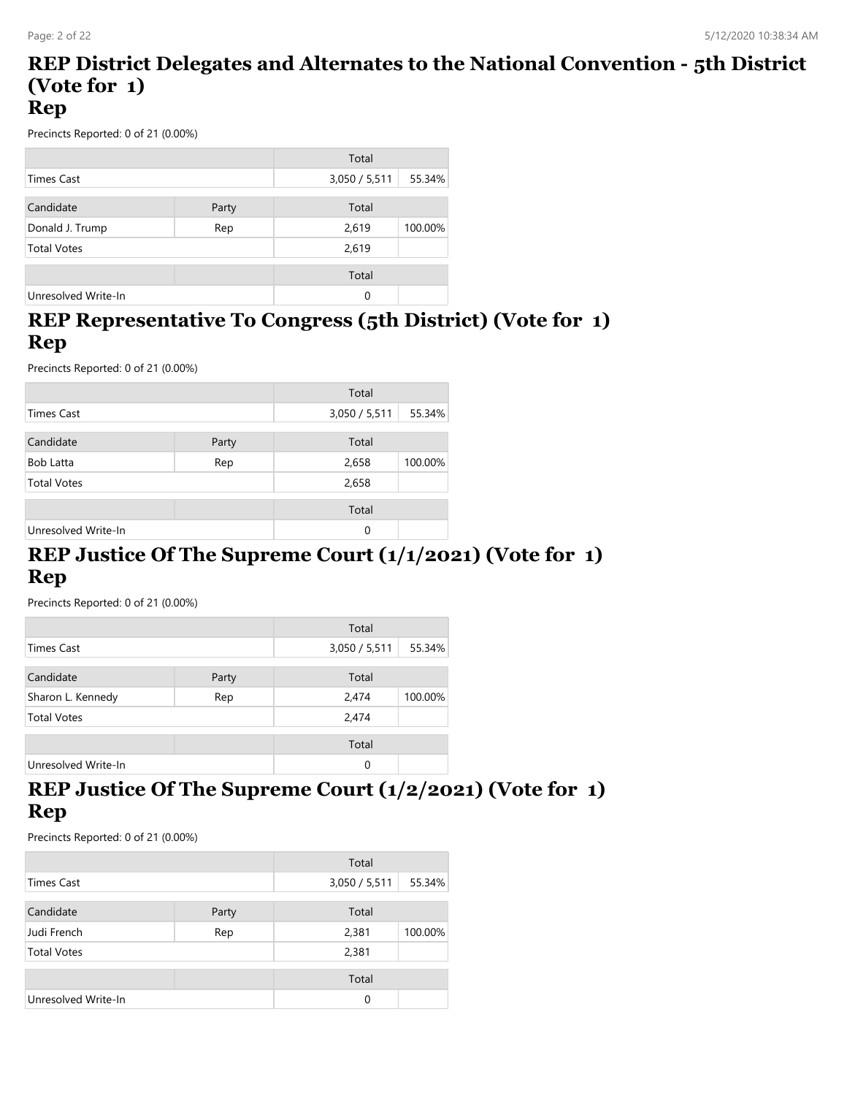#### **REP District Delegates and Alternates to the National Convention - 5th District (Vote for 1) Rep**

Precincts Reported: 0 of 21 (0.00%)

|                     |       | Total         |         |
|---------------------|-------|---------------|---------|
| <b>Times Cast</b>   |       | 3,050 / 5,511 | 55.34%  |
| Candidate           | Party | Total         |         |
| Donald J. Trump     | Rep   | 2,619         | 100.00% |
| <b>Total Votes</b>  |       | 2,619         |         |
|                     |       | Total         |         |
| Unresolved Write-In |       | 0             |         |

#### **REP Representative To Congress (5th District) (Vote for 1) Rep**

Precincts Reported: 0 of 21 (0.00%)

|                     |       | Total         |         |
|---------------------|-------|---------------|---------|
| <b>Times Cast</b>   |       | 3,050 / 5,511 | 55.34%  |
| Candidate           | Party | Total         |         |
| Bob Latta           | Rep   | 2,658         | 100.00% |
| <b>Total Votes</b>  |       | 2,658         |         |
|                     |       | Total         |         |
| Unresolved Write-In |       | 0             |         |

#### **REP Justice Of The Supreme Court (1/1/2021) (Vote for 1) Rep**

Precincts Reported: 0 of 21 (0.00%)

|                     |       | Total         |         |
|---------------------|-------|---------------|---------|
| <b>Times Cast</b>   |       | 3,050 / 5,511 | 55.34%  |
|                     |       |               |         |
| Candidate           | Party | Total         |         |
| Sharon L. Kennedy   | Rep   | 2,474         | 100.00% |
| <b>Total Votes</b>  |       | 2,474         |         |
|                     |       | Total         |         |
|                     |       |               |         |
| Unresolved Write-In |       | $\Omega$      |         |

#### **REP Justice Of The Supreme Court (1/2/2021) (Vote for 1) Rep**

|                     |       | Total         |         |
|---------------------|-------|---------------|---------|
| <b>Times Cast</b>   |       | 3,050 / 5,511 | 55.34%  |
| Candidate           | Party | Total         |         |
| Judi French         | Rep   | 2,381         | 100.00% |
| <b>Total Votes</b>  |       | 2,381         |         |
|                     |       | Total         |         |
| Unresolved Write-In |       | 0             |         |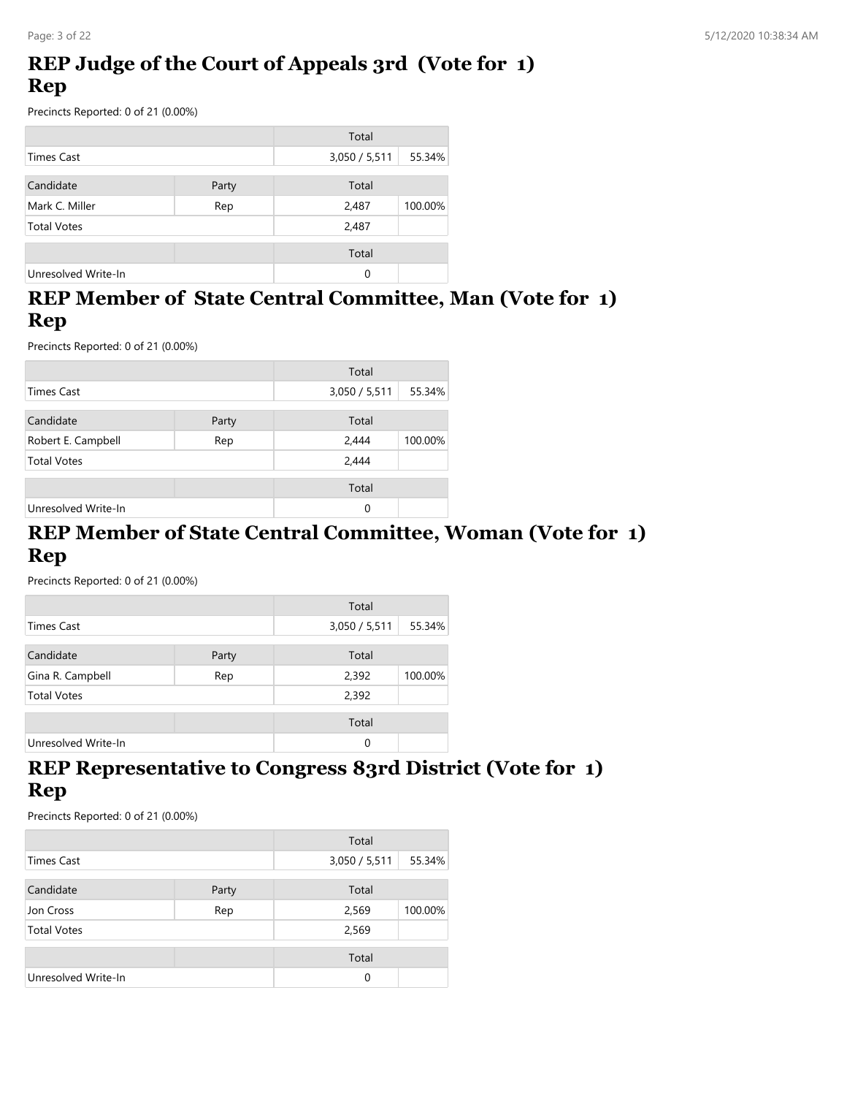# **REP Judge of the Court of Appeals 3rd (Vote for 1) Rep**

Precincts Reported: 0 of 21 (0.00%)

|                     |       | Total         |         |
|---------------------|-------|---------------|---------|
| <b>Times Cast</b>   |       | 3,050 / 5,511 | 55.34%  |
| Candidate           | Party | Total         |         |
| Mark C. Miller      | Rep   | 2,487         | 100.00% |
| <b>Total Votes</b>  |       | 2,487         |         |
|                     |       | Total         |         |
| Unresolved Write-In |       | 0             |         |

# **REP Member of State Central Committee, Man (Vote for 1) Rep**

Precincts Reported: 0 of 21 (0.00%)

|                     |       | Total         |         |
|---------------------|-------|---------------|---------|
| <b>Times Cast</b>   |       | 3,050 / 5,511 | 55.34%  |
| Candidate           | Party | Total         |         |
| Robert E. Campbell  | Rep   | 2,444         | 100.00% |
| <b>Total Votes</b>  |       | 2,444         |         |
|                     |       | Total         |         |
| Unresolved Write-In |       | 0             |         |

#### **REP Member of State Central Committee, Woman (Vote for 1) Rep**

Precincts Reported: 0 of 21 (0.00%)

|                     |       | Total         |         |
|---------------------|-------|---------------|---------|
| <b>Times Cast</b>   |       | 3,050 / 5,511 | 55.34%  |
| Candidate           | Party | Total         |         |
| Gina R. Campbell    | Rep   | 2,392         | 100.00% |
| <b>Total Votes</b>  |       | 2,392         |         |
|                     |       | Total         |         |
| Unresolved Write-In |       | 0             |         |

#### **REP Representative to Congress 83rd District (Vote for 1) Rep**

|                     |       | Total         |         |
|---------------------|-------|---------------|---------|
| <b>Times Cast</b>   |       | 3,050 / 5,511 | 55.34%  |
| Candidate           | Party | Total         |         |
| Jon Cross           | Rep   | 2,569         | 100.00% |
| <b>Total Votes</b>  |       | 2,569         |         |
|                     |       | Total         |         |
| Unresolved Write-In |       | 0             |         |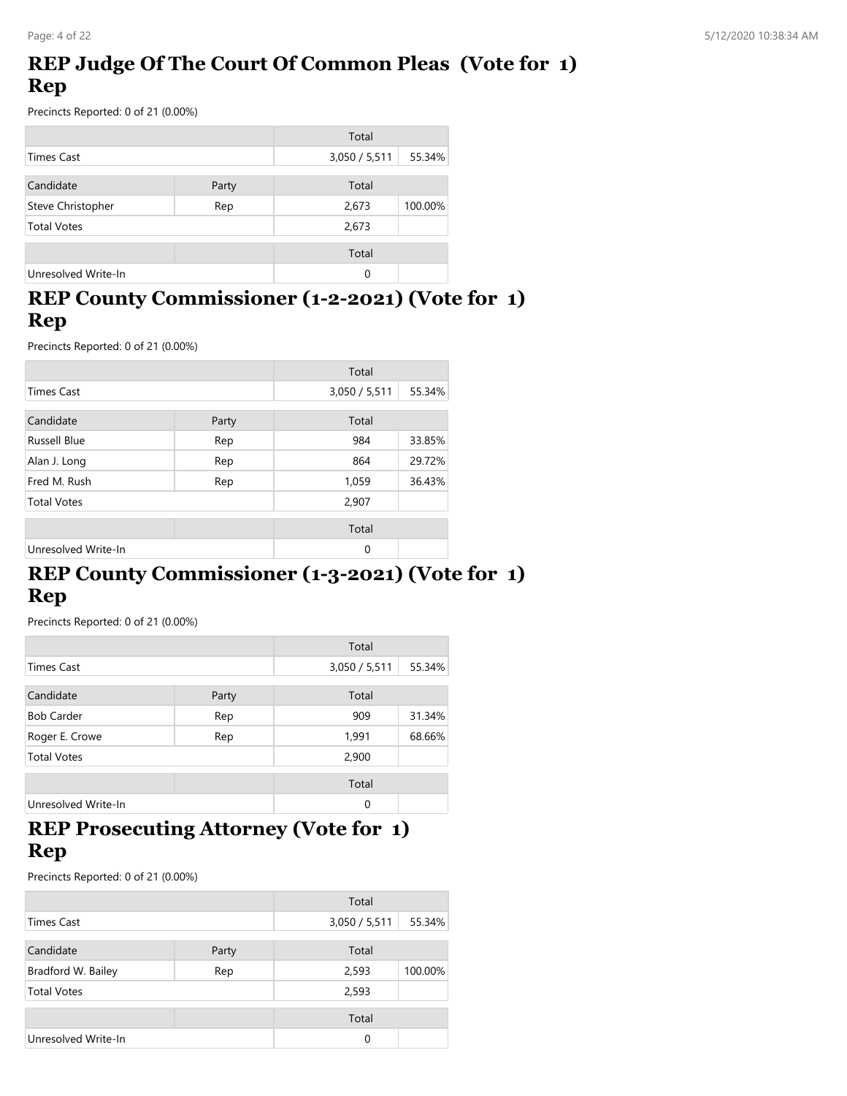# **REP Judge Of The Court Of Common Pleas (Vote for 1) Rep**

Precincts Reported: 0 of 21 (0.00%)

|                     |       | Total         |         |
|---------------------|-------|---------------|---------|
| <b>Times Cast</b>   |       | 3,050 / 5,511 | 55.34%  |
| Candidate           | Party | Total         |         |
| Steve Christopher   | Rep   | 2,673         | 100.00% |
| <b>Total Votes</b>  |       | 2,673         |         |
|                     |       | Total         |         |
| Unresolved Write-In |       | 0             |         |

# **REP County Commissioner (1-2-2021) (Vote for 1) Rep**

Precincts Reported: 0 of 21 (0.00%)

|                     |       | Total         |        |
|---------------------|-------|---------------|--------|
| Times Cast          |       | 3,050 / 5,511 | 55.34% |
| Candidate           | Party | Total         |        |
| <b>Russell Blue</b> | Rep   | 984           | 33.85% |
| Alan J. Long        | Rep   | 864           | 29.72% |
| Fred M. Rush<br>Rep |       | 1,059         | 36.43% |
| <b>Total Votes</b>  |       | 2,907         |        |
|                     |       | Total         |        |
| Unresolved Write-In |       | $\Omega$      |        |

# **REP County Commissioner (1-3-2021) (Vote for 1) Rep**

Precincts Reported: 0 of 21 (0.00%)

|                     |       | Total         |        |
|---------------------|-------|---------------|--------|
| <b>Times Cast</b>   |       | 3,050 / 5,511 | 55.34% |
| Candidate           | Party | Total         |        |
| <b>Bob Carder</b>   | Rep   | 909           | 31.34% |
| Roger E. Crowe      | Rep   | 1,991         | 68.66% |
| <b>Total Votes</b>  |       | 2,900         |        |
|                     |       | Total         |        |
| Unresolved Write-In |       | $\Omega$      |        |

#### **REP Prosecuting Attorney (Vote for 1) Rep**

|                     |       | Total         |         |
|---------------------|-------|---------------|---------|
| <b>Times Cast</b>   |       | 3,050 / 5,511 | 55.34%  |
| Candidate           | Party | Total         |         |
| Bradford W. Bailey  | Rep   | 2,593         | 100.00% |
| <b>Total Votes</b>  |       | 2,593         |         |
|                     |       | Total         |         |
| Unresolved Write-In |       | 0             |         |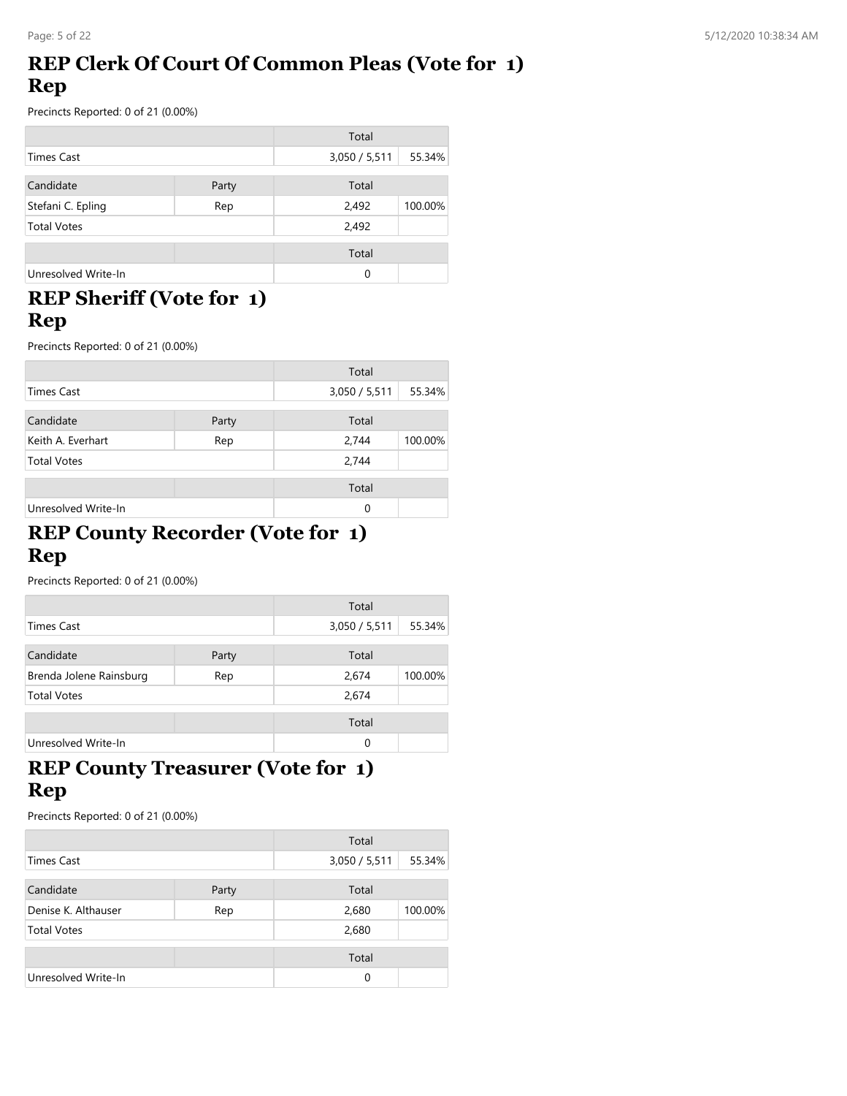# **REP Clerk Of Court Of Common Pleas (Vote for 1) Rep**

Precincts Reported: 0 of 21 (0.00%)

|                     |       | Total         |         |
|---------------------|-------|---------------|---------|
| <b>Times Cast</b>   |       | 3,050 / 5,511 | 55.34%  |
| Candidate           | Party | Total         |         |
| Stefani C. Epling   | Rep   | 2,492         | 100.00% |
| <b>Total Votes</b>  |       | 2,492         |         |
|                     |       | Total         |         |
| Unresolved Write-In |       | 0             |         |

# **REP Sheriff (Vote for 1) Rep**

Precincts Reported: 0 of 21 (0.00%)

|                     |       | Total         |         |
|---------------------|-------|---------------|---------|
| <b>Times Cast</b>   |       | 3,050 / 5,511 | 55.34%  |
| Candidate           | Party | Total         |         |
| Keith A. Everhart   | Rep   | 2,744         | 100.00% |
| <b>Total Votes</b>  |       | 2,744         |         |
|                     |       | Total         |         |
| Unresolved Write-In |       | 0             |         |

#### **REP County Recorder (Vote for 1) Rep**

Precincts Reported: 0 of 21 (0.00%)

|                         |       | Total         |         |
|-------------------------|-------|---------------|---------|
| Times Cast              |       | 3,050 / 5,511 | 55.34%  |
| Candidate               | Party | Total         |         |
| Brenda Jolene Rainsburg | Rep   | 2,674         | 100.00% |
| <b>Total Votes</b>      |       | 2,674         |         |
|                         |       | Total         |         |
| Unresolved Write-In     |       | 0             |         |

# **REP County Treasurer (Vote for 1) Rep**

|                     |       | Total         |         |
|---------------------|-------|---------------|---------|
| <b>Times Cast</b>   |       | 3,050 / 5,511 | 55.34%  |
| Candidate           | Party | Total         |         |
| Denise K. Althauser | Rep   | 2,680         | 100.00% |
| <b>Total Votes</b>  |       | 2,680         |         |
|                     |       | Total         |         |
| Unresolved Write-In |       | 0             |         |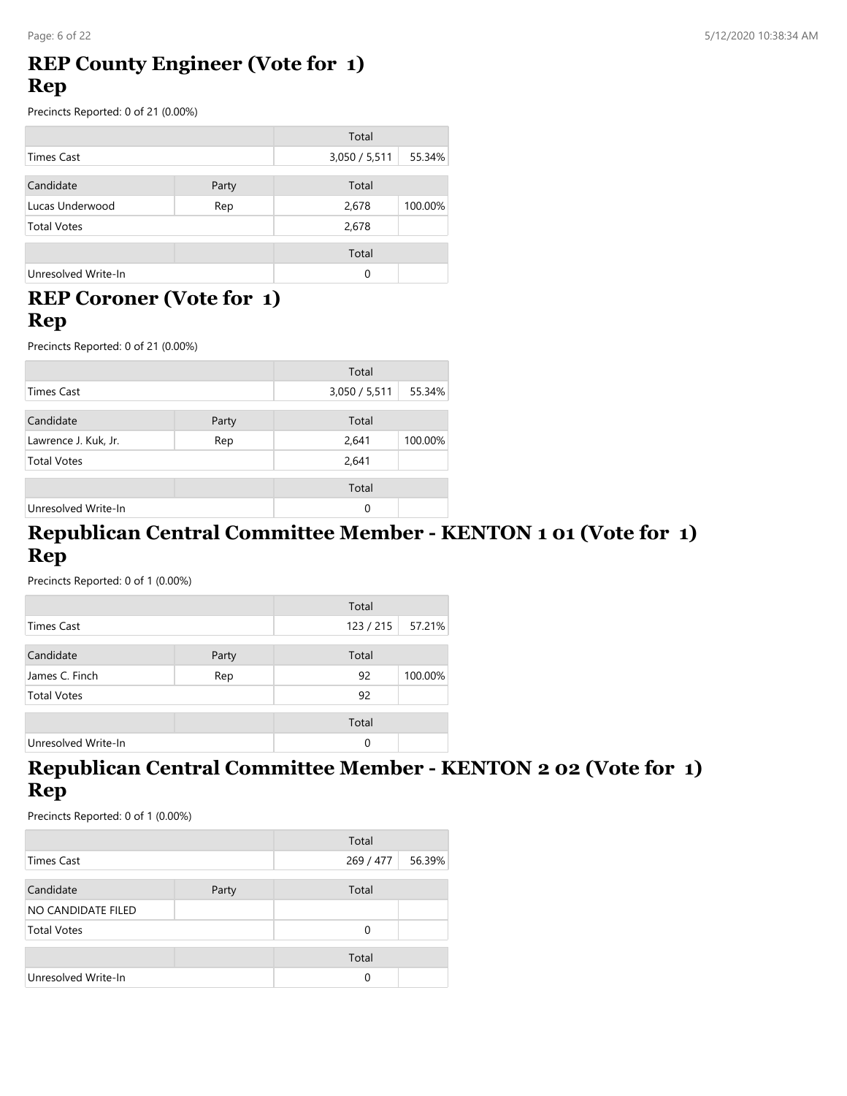#### **REP County Engineer (Vote for 1) Rep**

Precincts Reported: 0 of 21 (0.00%)

|                     |       | Total         |         |
|---------------------|-------|---------------|---------|
| <b>Times Cast</b>   |       | 3,050 / 5,511 | 55.34%  |
| Candidate           | Party | Total         |         |
| Lucas Underwood     | Rep   | 2,678         | 100.00% |
| <b>Total Votes</b>  |       | 2,678         |         |
|                     |       | Total         |         |
| Unresolved Write-In |       | 0             |         |

# **REP Coroner (Vote for 1) Rep**

Precincts Reported: 0 of 21 (0.00%)

|                      |       | Total         |         |
|----------------------|-------|---------------|---------|
| <b>Times Cast</b>    |       | 3,050 / 5,511 | 55.34%  |
| Candidate            | Party | Total         |         |
| Lawrence J. Kuk, Jr. | Rep   | 2,641         | 100.00% |
| <b>Total Votes</b>   |       | 2,641         |         |
|                      |       | Total         |         |
| Unresolved Write-In  |       | $\Omega$      |         |

#### **Republican Central Committee Member - KENTON 1 01 (Vote for 1) Rep**

Precincts Reported: 0 of 1 (0.00%)

|                     |       | Total     |         |
|---------------------|-------|-----------|---------|
| Times Cast          |       | 123 / 215 | 57.21%  |
| Candidate           | Party | Total     |         |
| James C. Finch      | Rep   | 92        | 100.00% |
| <b>Total Votes</b>  |       | 92        |         |
|                     |       | Total     |         |
| Unresolved Write-In |       | 0         |         |

#### **Republican Central Committee Member - KENTON 2 02 (Vote for 1) Rep**

|                     |       | Total     |        |
|---------------------|-------|-----------|--------|
| Times Cast          |       | 269 / 477 | 56.39% |
|                     |       |           |        |
| Candidate           | Party | Total     |        |
| NO CANDIDATE FILED  |       |           |        |
| <b>Total Votes</b>  |       | 0         |        |
|                     |       | Total     |        |
| Unresolved Write-In |       | 0         |        |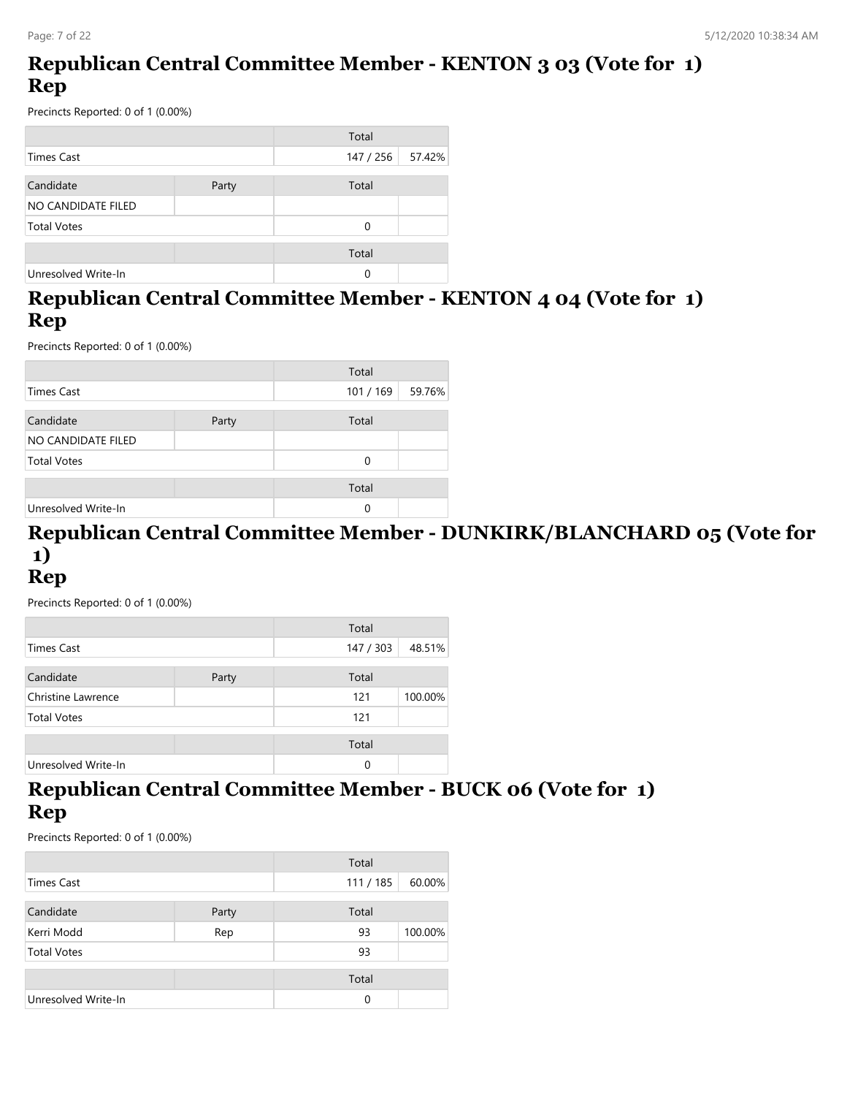# **Republican Central Committee Member - KENTON 3 03 (Vote for 1) Rep**

Precincts Reported: 0 of 1 (0.00%)

|                     |       | Total     |        |
|---------------------|-------|-----------|--------|
| Times Cast          |       | 147 / 256 | 57.42% |
|                     |       |           |        |
| Candidate           | Party | Total     |        |
| NO CANDIDATE FILED  |       |           |        |
| <b>Total Votes</b>  |       | 0         |        |
|                     |       |           |        |
|                     |       | Total     |        |
| Unresolved Write-In |       | 0         |        |

# **Republican Central Committee Member - KENTON 4 04 (Vote for 1) Rep**

Precincts Reported: 0 of 1 (0.00%)

|                     |       | Total   |        |
|---------------------|-------|---------|--------|
| <b>Times Cast</b>   |       | 101/169 | 59.76% |
| Candidate           | Party | Total   |        |
| NO CANDIDATE FILED  |       |         |        |
| <b>Total Votes</b>  |       | 0       |        |
|                     |       | Total   |        |
| Unresolved Write-In |       | 0       |        |

# **Republican Central Committee Member - DUNKIRK/BLANCHARD 05 (Vote for 1)**

# **Rep**

Precincts Reported: 0 of 1 (0.00%)

|                     |       | Total     |         |
|---------------------|-------|-----------|---------|
| Times Cast          |       | 147 / 303 | 48.51%  |
| Candidate           | Party | Total     |         |
| Christine Lawrence  |       | 121       | 100.00% |
| <b>Total Votes</b>  |       | 121       |         |
|                     |       | Total     |         |
| Unresolved Write-In |       | $\Omega$  |         |

#### **Republican Central Committee Member - BUCK 06 (Vote for 1) Rep**

|                     |       | Total    |         |
|---------------------|-------|----------|---------|
| Times Cast          |       | 111/185  | 60.00%  |
| Candidate           | Party | Total    |         |
| Kerri Modd          | Rep   | 93       | 100.00% |
| <b>Total Votes</b>  |       | 93       |         |
|                     |       | Total    |         |
| Unresolved Write-In |       | $\Omega$ |         |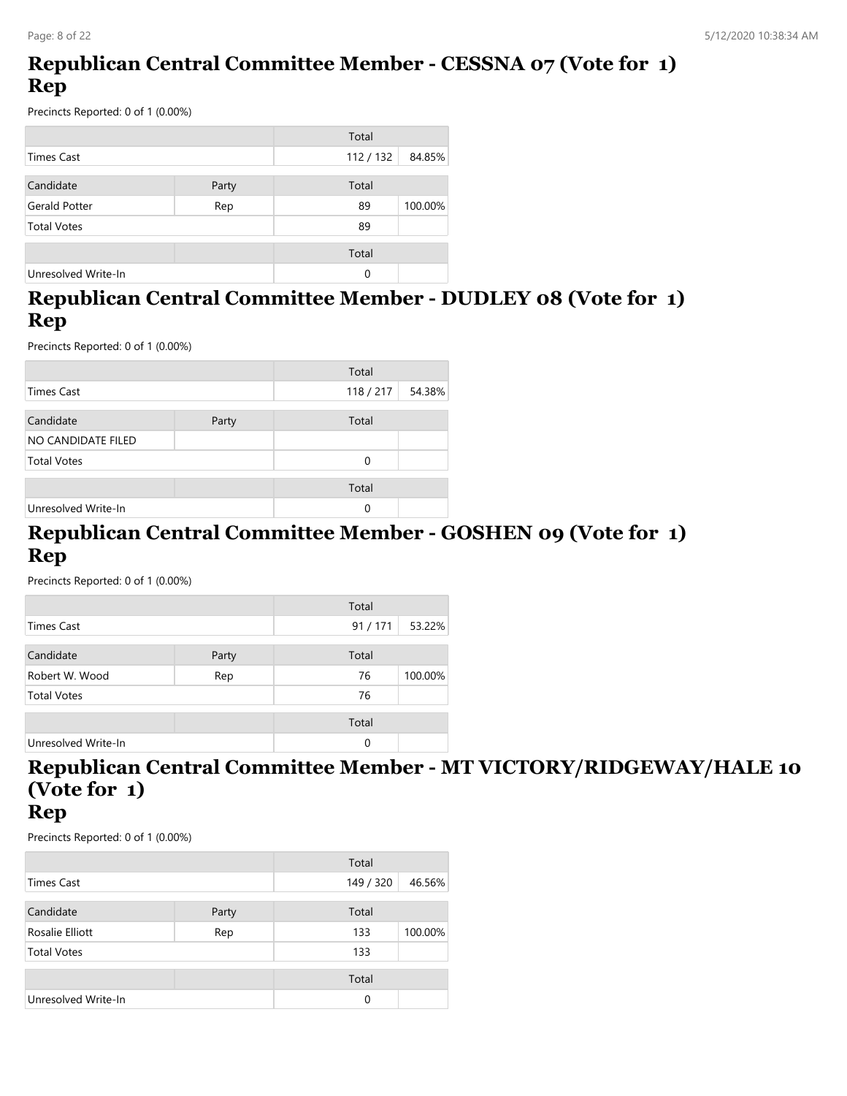# **Republican Central Committee Member - CESSNA 07 (Vote for 1) Rep**

Precincts Reported: 0 of 1 (0.00%)

|                      |       | Total   |         |
|----------------------|-------|---------|---------|
| Times Cast           |       | 112/132 | 84.85%  |
| Candidate            | Party | Total   |         |
| <b>Gerald Potter</b> | Rep   | 89      | 100.00% |
| <b>Total Votes</b>   |       | 89      |         |
|                      |       | Total   |         |
| Unresolved Write-In  |       | 0       |         |

# **Republican Central Committee Member - DUDLEY 08 (Vote for 1) Rep**

Precincts Reported: 0 of 1 (0.00%)

|                     |       | Total   |        |
|---------------------|-------|---------|--------|
| <b>Times Cast</b>   |       | 118/217 | 54.38% |
|                     |       |         |        |
| Candidate           | Party | Total   |        |
| NO CANDIDATE FILED  |       |         |        |
| <b>Total Votes</b>  |       | 0       |        |
|                     |       | Total   |        |
|                     |       |         |        |
| Unresolved Write-In |       | 0       |        |

#### **Republican Central Committee Member - GOSHEN 09 (Vote for 1) Rep**

Precincts Reported: 0 of 1 (0.00%)

|                     |       | Total  |         |
|---------------------|-------|--------|---------|
| <b>Times Cast</b>   |       | 91/171 | 53.22%  |
| Candidate           | Party | Total  |         |
| Robert W. Wood      | Rep   | 76     | 100.00% |
| <b>Total Votes</b>  |       | 76     |         |
|                     |       | Total  |         |
| Unresolved Write-In |       | 0      |         |

# **Republican Central Committee Member - MT VICTORY/RIDGEWAY/HALE 10 (Vote for 1)**

#### **Rep**

|                        |       | Total     |         |
|------------------------|-------|-----------|---------|
| <b>Times Cast</b>      |       | 149 / 320 | 46.56%  |
| Candidate              | Party | Total     |         |
| Rosalie Elliott<br>Rep |       | 133       | 100.00% |
| <b>Total Votes</b>     |       | 133       |         |
|                        |       | Total     |         |
| Unresolved Write-In    |       | 0         |         |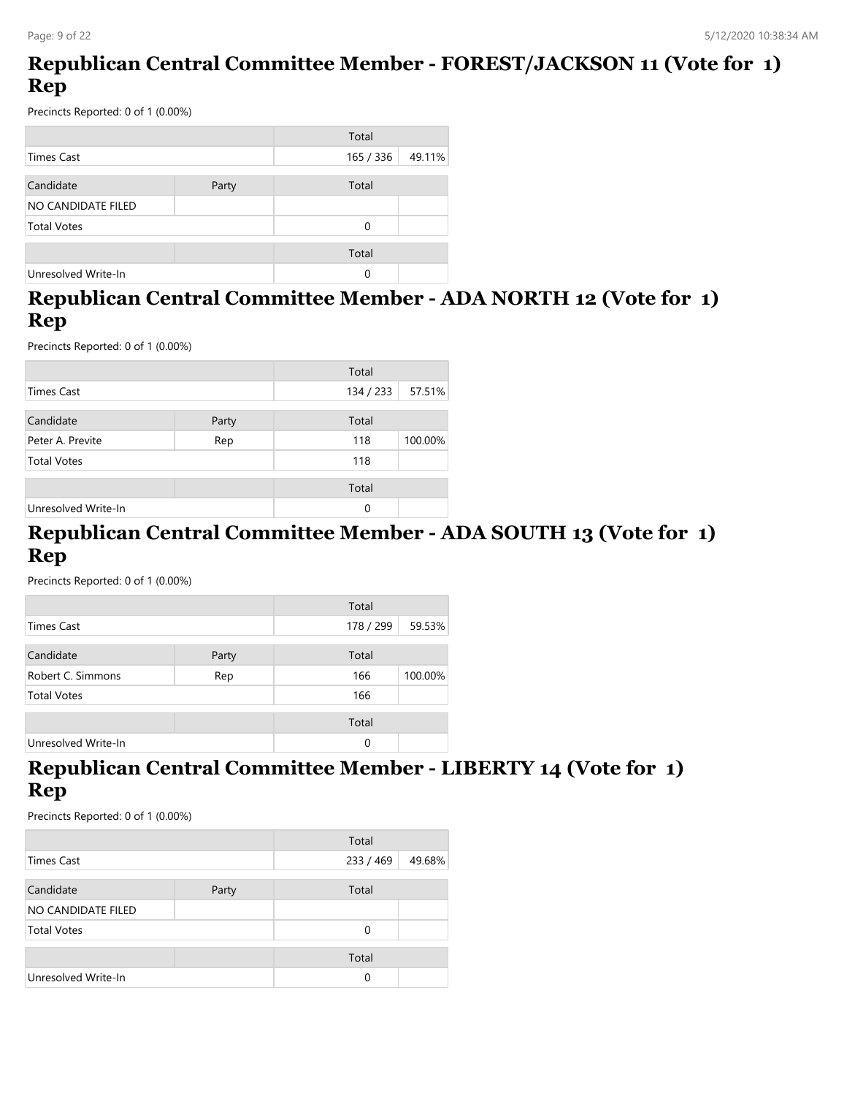# **Republican Central Committee Member - FOREST/JACKSON 11 (Vote for 1) Rep**

Precincts Reported: 0 of 1 (0.00%)

|                     |       | Total     |        |
|---------------------|-------|-----------|--------|
| <b>Times Cast</b>   |       | 165 / 336 | 49.11% |
|                     |       |           |        |
| Candidate           | Party | Total     |        |
| NO CANDIDATE FILED  |       |           |        |
| <b>Total Votes</b>  |       | 0         |        |
|                     |       |           |        |
|                     |       | Total     |        |
| Unresolved Write-In |       | 0         |        |

# **Republican Central Committee Member - ADA NORTH 12 (Vote for 1) Rep**

Precincts Reported: 0 of 1 (0.00%)

|                     |       | Total     |         |
|---------------------|-------|-----------|---------|
| <b>Times Cast</b>   |       | 134 / 233 | 57.51%  |
|                     |       |           |         |
| Candidate           | Party | Total     |         |
| Peter A. Previte    | Rep   | 118       | 100.00% |
| <b>Total Votes</b>  |       | 118       |         |
|                     |       | Total     |         |
| Unresolved Write-In |       | 0         |         |

#### **Republican Central Committee Member - ADA SOUTH 13 (Vote for 1) Rep**

Precincts Reported: 0 of 1 (0.00%)

|                     |       | Total     |         |
|---------------------|-------|-----------|---------|
| Times Cast          |       | 178 / 299 | 59.53%  |
| Candidate           | Party | Total     |         |
| Robert C. Simmons   | Rep   | 166       | 100.00% |
| <b>Total Votes</b>  |       | 166       |         |
|                     |       | Total     |         |
| Unresolved Write-In |       | $\Omega$  |         |

#### **Republican Central Committee Member - LIBERTY 14 (Vote for 1) Rep**

|                     |       | Total     |        |
|---------------------|-------|-----------|--------|
| Times Cast          |       | 233 / 469 | 49.68% |
|                     |       |           |        |
| Candidate           | Party | Total     |        |
| NO CANDIDATE FILED  |       |           |        |
| <b>Total Votes</b>  |       | 0         |        |
|                     |       | Total     |        |
| Unresolved Write-In |       | 0         |        |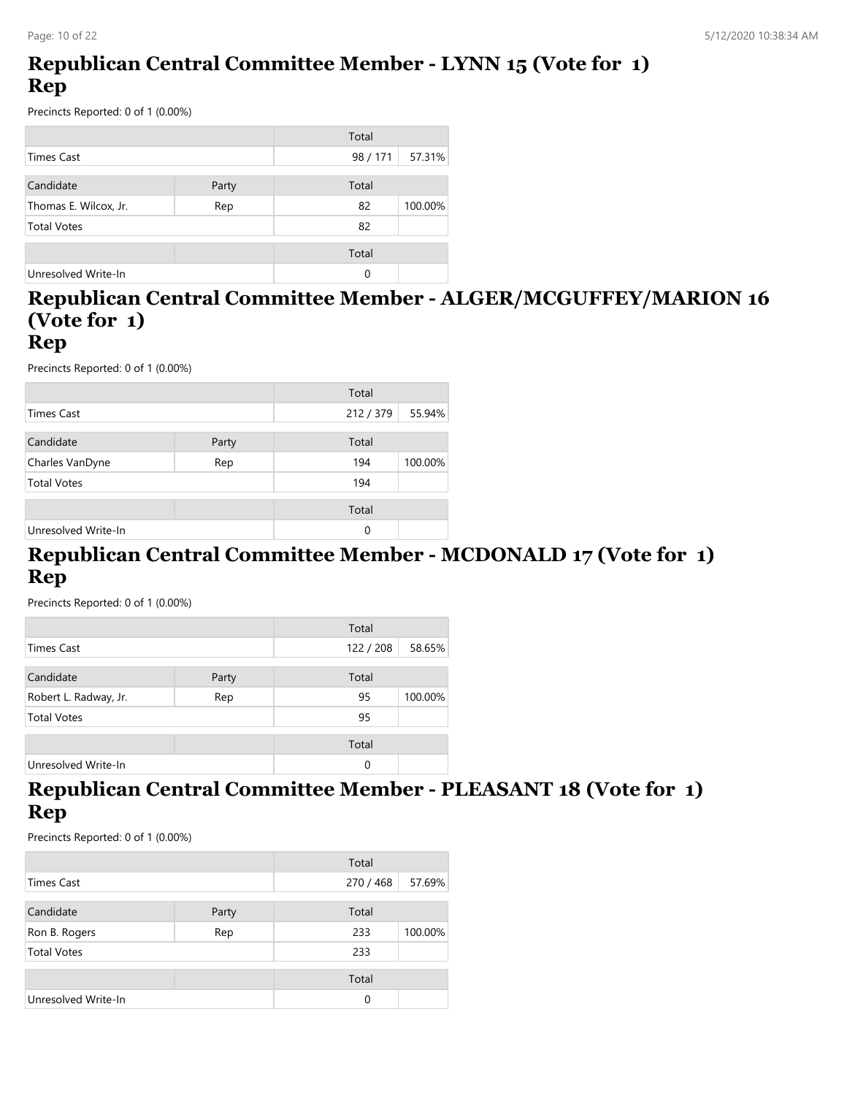# **Republican Central Committee Member - LYNN 15 (Vote for 1) Rep**

Precincts Reported: 0 of 1 (0.00%)

|                       |       | Total    |         |
|-----------------------|-------|----------|---------|
| Times Cast            |       | 98 / 171 | 57.31%  |
| Candidate             | Party | Total    |         |
| Thomas E. Wilcox, Jr. | Rep   | 82       | 100.00% |
| <b>Total Votes</b>    |       | 82       |         |
|                       |       | Total    |         |
| Unresolved Write-In   |       | 0        |         |

# **Republican Central Committee Member - ALGER/MCGUFFEY/MARION 16 (Vote for 1)**

#### **Rep**

Precincts Reported: 0 of 1 (0.00%)

|                     |       | Total     |         |
|---------------------|-------|-----------|---------|
| <b>Times Cast</b>   |       | 212 / 379 | 55.94%  |
| Candidate           | Party | Total     |         |
| Charles VanDyne     | Rep   | 194       | 100.00% |
| <b>Total Votes</b>  |       | 194       |         |
|                     |       | Total     |         |
| Unresolved Write-In |       | 0         |         |

#### **Republican Central Committee Member - MCDONALD 17 (Vote for 1) Rep**

Precincts Reported: 0 of 1 (0.00%)

|                       |       | Total   |         |
|-----------------------|-------|---------|---------|
| Times Cast            |       | 122/208 | 58.65%  |
|                       |       |         |         |
| Candidate             | Party | Total   |         |
| Robert L. Radway, Jr. | Rep   | 95      | 100.00% |
| <b>Total Votes</b>    |       | 95      |         |
|                       |       | Total   |         |
| Unresolved Write-In   |       | 0       |         |

#### **Republican Central Committee Member - PLEASANT 18 (Vote for 1) Rep**

|                     |       | Total     |         |
|---------------------|-------|-----------|---------|
| <b>Times Cast</b>   |       | 270 / 468 | 57.69%  |
| Candidate           | Party | Total     |         |
| Ron B. Rogers       | Rep   | 233       | 100.00% |
| <b>Total Votes</b>  |       | 233       |         |
|                     |       | Total     |         |
| Unresolved Write-In |       | 0         |         |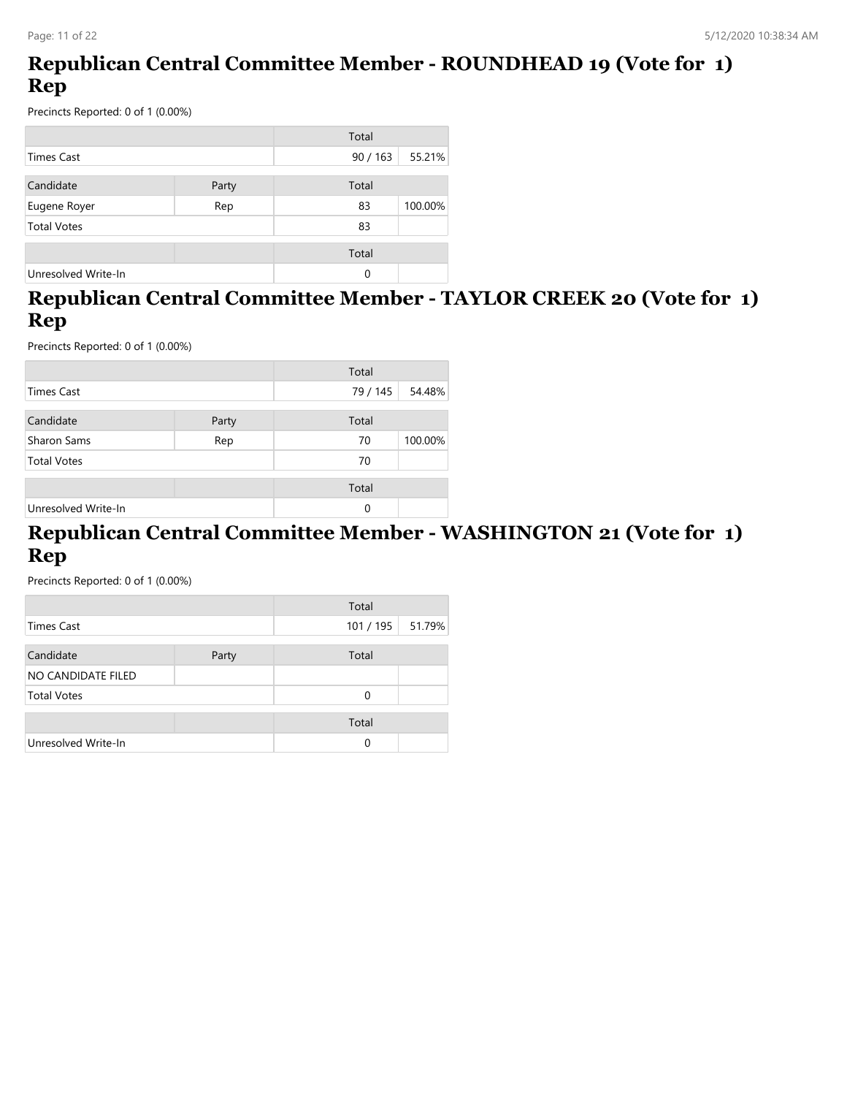# **Republican Central Committee Member - ROUNDHEAD 19 (Vote for 1) Rep**

Precincts Reported: 0 of 1 (0.00%)

|                     |       | Total  |         |
|---------------------|-------|--------|---------|
| <b>Times Cast</b>   |       | 90/163 | 55.21%  |
| Candidate           | Party | Total  |         |
| Eugene Royer        | Rep   | 83     | 100.00% |
| <b>Total Votes</b>  |       | 83     |         |
|                     |       | Total  |         |
| Unresolved Write-In |       | 0      |         |

# **Republican Central Committee Member - TAYLOR CREEK 20 (Vote for 1) Rep**

Precincts Reported: 0 of 1 (0.00%)

|                     |       | Total    |         |
|---------------------|-------|----------|---------|
| <b>Times Cast</b>   |       | 79 / 145 | 54.48%  |
| Candidate           | Party | Total    |         |
| Sharon Sams         | Rep   | 70       | 100.00% |
| <b>Total Votes</b>  |       | 70       |         |
|                     |       | Total    |         |
| Unresolved Write-In |       | 0        |         |

#### **Republican Central Committee Member - WASHINGTON 21 (Vote for 1) Rep**

|                           |       | Total   |        |
|---------------------------|-------|---------|--------|
| Times Cast                |       | 101/195 | 51.79% |
|                           |       |         |        |
| Candidate                 | Party | Total   |        |
| <b>NO CANDIDATE FILED</b> |       |         |        |
| <b>Total Votes</b>        |       | 0       |        |
|                           |       |         |        |
|                           |       | Total   |        |
| Unresolved Write-In       |       | 0       |        |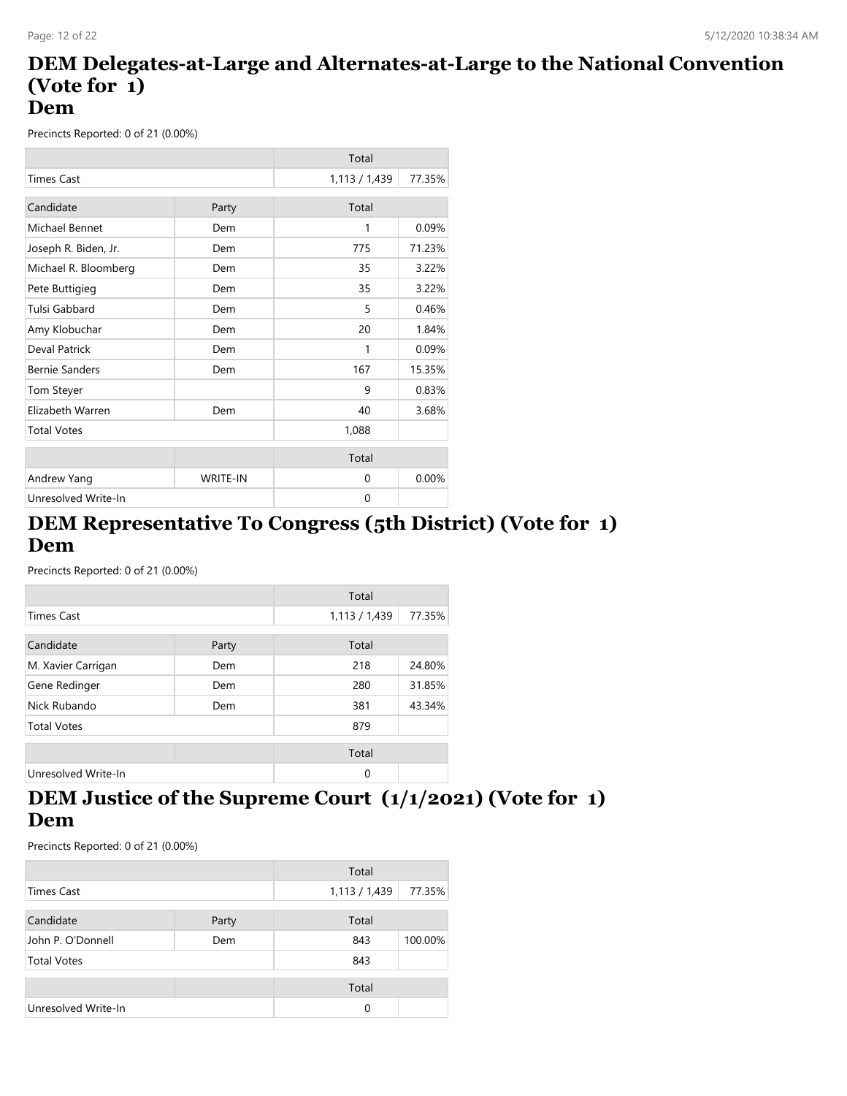#### **DEM Delegates-at-Large and Alternates-at-Large to the National Convention (Vote for 1) Dem**

Precincts Reported: 0 of 21 (0.00%)

|                       |          | Total         |        |
|-----------------------|----------|---------------|--------|
| <b>Times Cast</b>     |          | 1,113 / 1,439 | 77.35% |
| Candidate             | Party    | Total         |        |
| Michael Bennet        | Dem      | 1             | 0.09%  |
| Joseph R. Biden, Jr.  | Dem      | 775           | 71.23% |
| Michael R. Bloomberg  | Dem      | 35            | 3.22%  |
| Pete Buttigieg        | Dem      | 35            | 3.22%  |
| Tulsi Gabbard         | Dem      | 5             | 0.46%  |
| Amy Klobuchar         | Dem      | 20            | 1.84%  |
| Deval Patrick         | Dem      | 1             | 0.09%  |
| <b>Bernie Sanders</b> | Dem      | 167           | 15.35% |
| <b>Tom Steyer</b>     |          | 9             | 0.83%  |
| Elizabeth Warren      | Dem      | 40            | 3.68%  |
| <b>Total Votes</b>    |          | 1,088         |        |
|                       |          | Total         |        |
| Andrew Yang           | WRITE-IN | $\Omega$      | 0.00%  |
| Unresolved Write-In   |          | 0             |        |

#### **DEM Representative To Congress (5th District) (Vote for 1) Dem**

Precincts Reported: 0 of 21 (0.00%)

|                     |       | Total         |        |
|---------------------|-------|---------------|--------|
| <b>Times Cast</b>   |       | 1,113 / 1,439 | 77.35% |
| Candidate           | Party | Total         |        |
| M. Xavier Carrigan  | Dem   | 218           | 24.80% |
| Gene Redinger       | Dem   | 280           | 31.85% |
| Nick Rubando        | Dem   | 381           | 43.34% |
| <b>Total Votes</b>  |       | 879           |        |
|                     |       | Total         |        |
| Unresolved Write-In |       | $\Omega$      |        |

# **DEM Justice of the Supreme Court (1/1/2021) (Vote for 1) Dem**

|                     |       | Total         |         |
|---------------------|-------|---------------|---------|
| Times Cast          |       | 1,113 / 1,439 | 77.35%  |
| Candidate           | Party | Total         |         |
| John P. O'Donnell   | Dem   | 843           | 100.00% |
| <b>Total Votes</b>  |       | 843           |         |
|                     |       | Total         |         |
| Unresolved Write-In |       | 0             |         |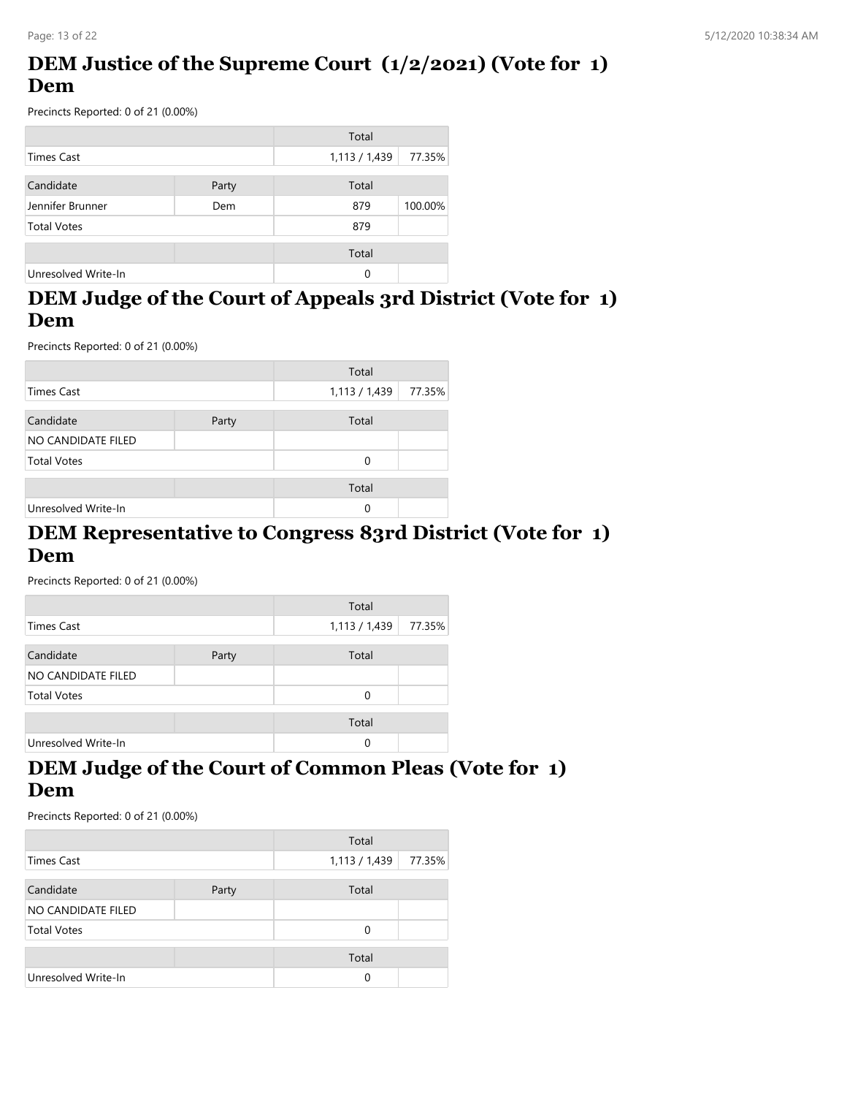# **DEM Justice of the Supreme Court (1/2/2021) (Vote for 1) Dem**

Precincts Reported: 0 of 21 (0.00%)

|                     |       | Total         |         |
|---------------------|-------|---------------|---------|
| <b>Times Cast</b>   |       | 1,113 / 1,439 | 77.35%  |
| Candidate           | Party | Total         |         |
| Jennifer Brunner    | Dem   | 879           | 100.00% |
| <b>Total Votes</b>  |       | 879           |         |
|                     |       | Total         |         |
| Unresolved Write-In |       | 0             |         |

# **DEM Judge of the Court of Appeals 3rd District (Vote for 1) Dem**

Precincts Reported: 0 of 21 (0.00%)

|                     |       | Total       |        |
|---------------------|-------|-------------|--------|
| <b>Times Cast</b>   |       | 1,113/1,439 | 77.35% |
| Candidate           | Party | Total       |        |
| NO CANDIDATE FILED  |       |             |        |
| <b>Total Votes</b>  |       | 0           |        |
|                     |       | Total       |        |
| Unresolved Write-In |       | 0           |        |

#### **DEM Representative to Congress 83rd District (Vote for 1) Dem**

Precincts Reported: 0 of 21 (0.00%)

|                     |       | Total         |        |
|---------------------|-------|---------------|--------|
| Times Cast          |       | 1,113 / 1,439 | 77.35% |
| Candidate           | Party | Total         |        |
| NO CANDIDATE FILED  |       |               |        |
| <b>Total Votes</b>  |       | 0             |        |
|                     |       | Total         |        |
| Unresolved Write-In |       | 0             |        |

#### **DEM Judge of the Court of Common Pleas (Vote for 1) Dem**

|                     |       | Total       |        |
|---------------------|-------|-------------|--------|
| Times Cast          |       | 1,113/1,439 | 77.35% |
| Candidate           | Party | Total       |        |
| NO CANDIDATE FILED  |       |             |        |
| <b>Total Votes</b>  |       | 0           |        |
|                     |       | Total       |        |
| Unresolved Write-In |       | 0           |        |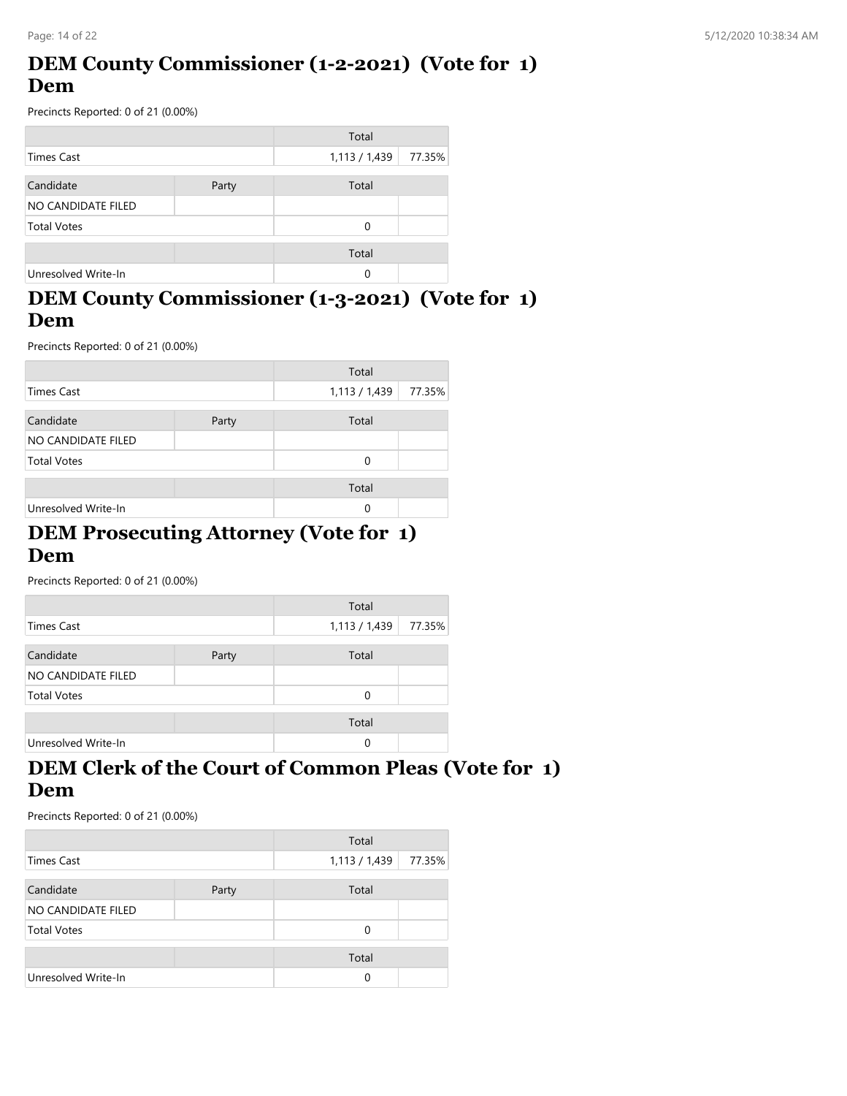#### **DEM County Commissioner (1-2-2021) (Vote for 1) Dem**

Precincts Reported: 0 of 21 (0.00%)

|                     |       | Total         |        |
|---------------------|-------|---------------|--------|
| <b>Times Cast</b>   |       | 1,113 / 1,439 | 77.35% |
| Candidate           | Party | Total         |        |
| NO CANDIDATE FILED  |       |               |        |
| <b>Total Votes</b>  |       | $\Omega$      |        |
|                     |       | Total         |        |
| Unresolved Write-In |       | 0             |        |

# **DEM County Commissioner (1-3-2021) (Vote for 1) Dem**

Precincts Reported: 0 of 21 (0.00%)

|                     |       | Total       |        |
|---------------------|-------|-------------|--------|
| Times Cast          |       | 1,113/1,439 | 77.35% |
|                     |       |             |        |
| Candidate           | Party | Total       |        |
| NO CANDIDATE FILED  |       |             |        |
| <b>Total Votes</b>  |       | $\Omega$    |        |
|                     |       | Total       |        |
| Unresolved Write-In |       | 0           |        |

#### **DEM Prosecuting Attorney (Vote for 1) Dem**

Precincts Reported: 0 of 21 (0.00%)

|                     |       | Total         |        |
|---------------------|-------|---------------|--------|
| Times Cast          |       | 1,113 / 1,439 | 77.35% |
| Candidate           | Party | Total         |        |
| NO CANDIDATE FILED  |       |               |        |
| <b>Total Votes</b>  |       | $\Omega$      |        |
|                     |       | Total         |        |
| Unresolved Write-In |       | 0             |        |

#### **DEM Clerk of the Court of Common Pleas (Vote for 1) Dem**

|                     |       | Total       |        |
|---------------------|-------|-------------|--------|
| Times Cast          |       | 1,113/1,439 | 77.35% |
|                     |       |             |        |
| Candidate           | Party | Total       |        |
| NO CANDIDATE FILED  |       |             |        |
| <b>Total Votes</b>  |       | 0           |        |
|                     |       | Total       |        |
| Unresolved Write-In |       | 0           |        |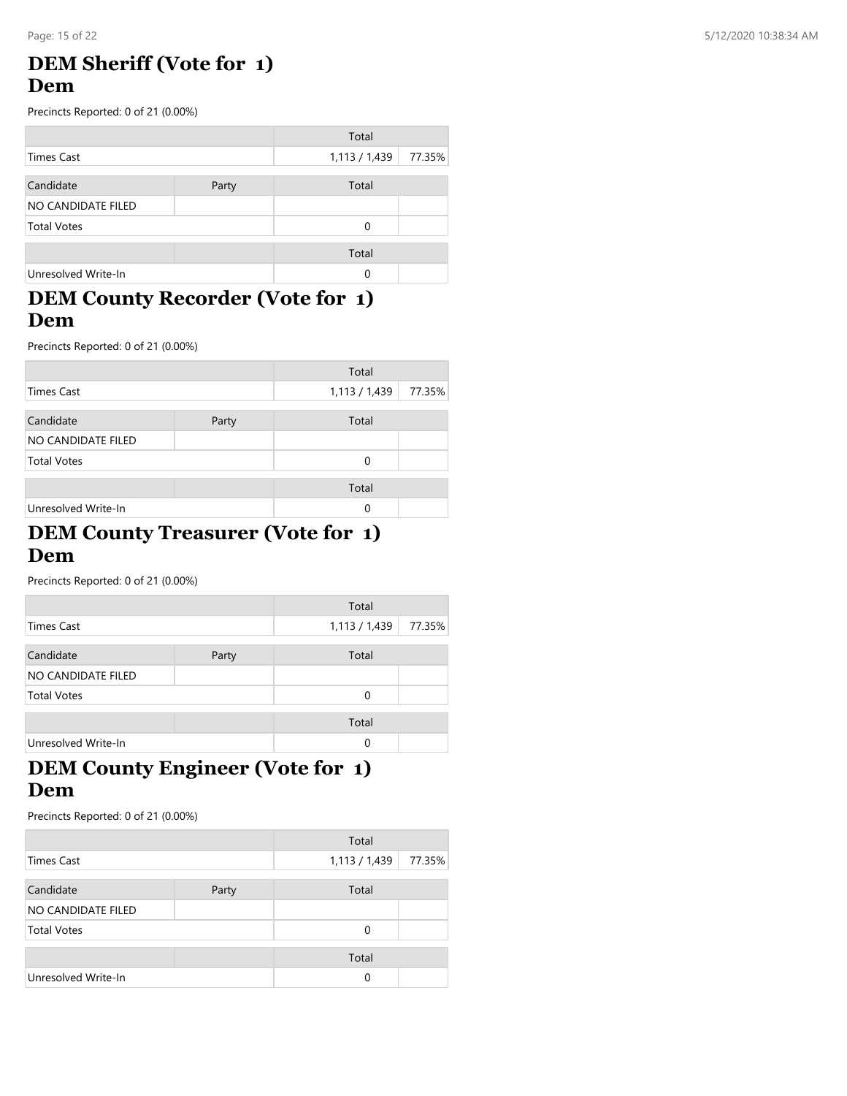#### **DEM Sheriff (Vote for 1) Dem**

Precincts Reported: 0 of 21 (0.00%)

|                     |       | Total       |        |
|---------------------|-------|-------------|--------|
| <b>Times Cast</b>   |       | 1,113/1,439 | 77.35% |
| Candidate           | Party | Total       |        |
| NO CANDIDATE FILED  |       |             |        |
| <b>Total Votes</b>  |       | 0           |        |
|                     |       | Total       |        |
| Unresolved Write-In |       | 0           |        |

#### **DEM County Recorder (Vote for 1) Dem**

Precincts Reported: 0 of 21 (0.00%)

|                     |       | Total       |        |
|---------------------|-------|-------------|--------|
| <b>Times Cast</b>   |       | 1,113/1,439 | 77.35% |
| Candidate           | Party | Total       |        |
| NO CANDIDATE FILED  |       |             |        |
| <b>Total Votes</b>  |       | 0           |        |
|                     |       | Total       |        |
| Unresolved Write-In |       | 0           |        |

#### **DEM County Treasurer (Vote for 1) Dem**

Precincts Reported: 0 of 21 (0.00%)

|                     |       | Total       |        |
|---------------------|-------|-------------|--------|
| Times Cast          |       | 1,113/1,439 | 77.35% |
| Candidate           | Party | Total       |        |
| NO CANDIDATE FILED  |       |             |        |
| <b>Total Votes</b>  |       | $\Omega$    |        |
|                     |       | Total       |        |
| Unresolved Write-In |       | 0           |        |

#### **DEM County Engineer (Vote for 1) Dem**

|                     |       | Total       |        |
|---------------------|-------|-------------|--------|
| <b>Times Cast</b>   |       | 1,113/1,439 | 77.35% |
|                     |       |             |        |
| Candidate           | Party | Total       |        |
| NO CANDIDATE FILED  |       |             |        |
| <b>Total Votes</b>  |       | 0           |        |
|                     |       | Total       |        |
| Unresolved Write-In |       | 0           |        |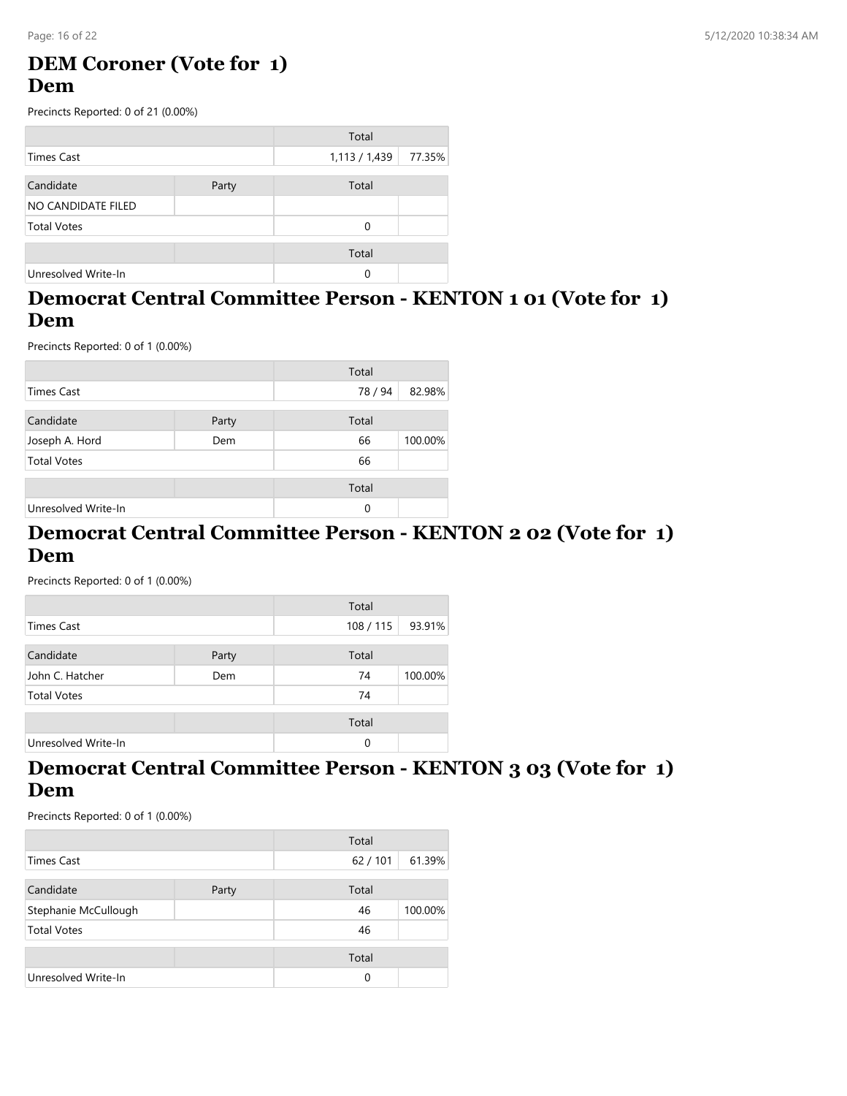#### **DEM Coroner (Vote for 1) Dem**

Precincts Reported: 0 of 21 (0.00%)

|                     |       | Total         |        |
|---------------------|-------|---------------|--------|
| <b>Times Cast</b>   |       | 1,113 / 1,439 | 77.35% |
|                     |       |               |        |
| Candidate           | Party | Total         |        |
| NO CANDIDATE FILED  |       |               |        |
| <b>Total Votes</b>  |       | $\Omega$      |        |
|                     |       |               |        |
|                     |       | Total         |        |
| Unresolved Write-In |       | 0             |        |

#### **Democrat Central Committee Person - KENTON 1 01 (Vote for 1) Dem**

Precincts Reported: 0 of 1 (0.00%)

|                     |       | Total   |         |
|---------------------|-------|---------|---------|
| <b>Times Cast</b>   |       | 78 / 94 | 82.98%  |
| Candidate           | Party | Total   |         |
| Joseph A. Hord      | Dem   | 66      | 100.00% |
| <b>Total Votes</b>  |       | 66      |         |
|                     |       | Total   |         |
| Unresolved Write-In |       | 0       |         |

#### **Democrat Central Committee Person - KENTON 2 02 (Vote for 1) Dem**

Precincts Reported: 0 of 1 (0.00%)

|                     |       | Total   |         |
|---------------------|-------|---------|---------|
| Times Cast          |       | 108/115 | 93.91%  |
| Candidate           | Party | Total   |         |
| John C. Hatcher     | Dem   | 74      | 100.00% |
| <b>Total Votes</b>  |       | 74      |         |
|                     |       | Total   |         |
| Unresolved Write-In |       | 0       |         |

#### **Democrat Central Committee Person - KENTON 3 03 (Vote for 1) Dem**

|                      |       | Total  |         |
|----------------------|-------|--------|---------|
| <b>Times Cast</b>    |       | 62/101 | 61.39%  |
| Candidate            | Party | Total  |         |
| Stephanie McCullough |       | 46     | 100.00% |
| <b>Total Votes</b>   |       | 46     |         |
|                      |       | Total  |         |
| Unresolved Write-In  |       | 0      |         |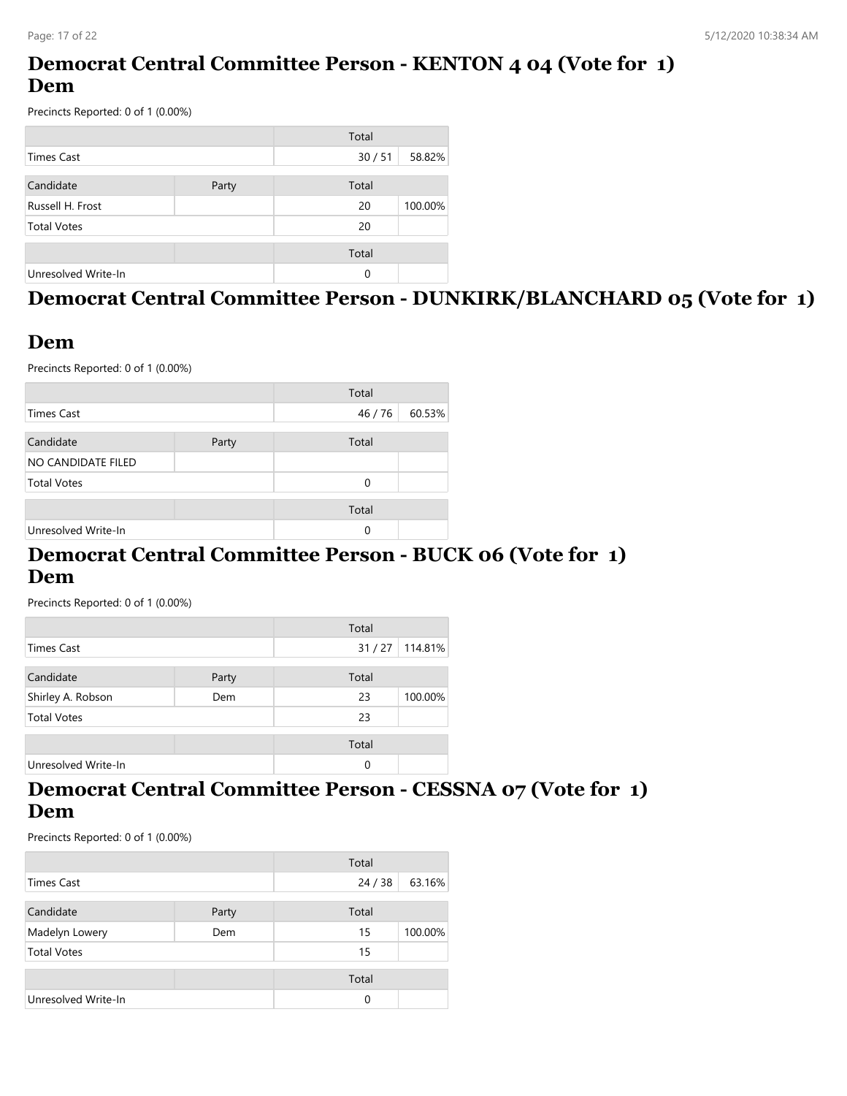# **Democrat Central Committee Person - KENTON 4 04 (Vote for 1) Dem**

Precincts Reported: 0 of 1 (0.00%)

|                     |       | Total |         |
|---------------------|-------|-------|---------|
| <b>Times Cast</b>   |       | 30/51 | 58.82%  |
| Candidate           | Party | Total |         |
| Russell H. Frost    |       | 20    | 100.00% |
| <b>Total Votes</b>  |       | 20    |         |
|                     |       | Total |         |
| Unresolved Write-In |       | 0     |         |

# **Democrat Central Committee Person - DUNKIRK/BLANCHARD 05 (Vote for 1)**

#### **Dem**

Precincts Reported: 0 of 1 (0.00%)

|                     |       | Total   |        |
|---------------------|-------|---------|--------|
| Times Cast          |       | 46 / 76 | 60.53% |
| Candidate           | Party | Total   |        |
| NO CANDIDATE FILED  |       |         |        |
| <b>Total Votes</b>  |       | 0       |        |
|                     |       |         |        |
|                     |       | Total   |        |
| Unresolved Write-In |       | 0       |        |

#### **Democrat Central Committee Person - BUCK 06 (Vote for 1) Dem**

Precincts Reported: 0 of 1 (0.00%)

|                     |       | Total |         |
|---------------------|-------|-------|---------|
| Times Cast          |       | 31/27 | 114.81% |
|                     |       |       |         |
| Candidate           | Party | Total |         |
| Shirley A. Robson   | Dem   | 23    | 100.00% |
| <b>Total Votes</b>  |       | 23    |         |
|                     |       | Total |         |
| Unresolved Write-In |       |       |         |
|                     |       | 0     |         |

#### **Democrat Central Committee Person - CESSNA 07 (Vote for 1) Dem**

|                     |       | Total    |         |
|---------------------|-------|----------|---------|
| Times Cast          |       | 24/38    | 63.16%  |
| Candidate           | Party | Total    |         |
| Madelyn Lowery      | Dem   | 15       | 100.00% |
| <b>Total Votes</b>  |       | 15       |         |
|                     |       | Total    |         |
| Unresolved Write-In |       | $\Omega$ |         |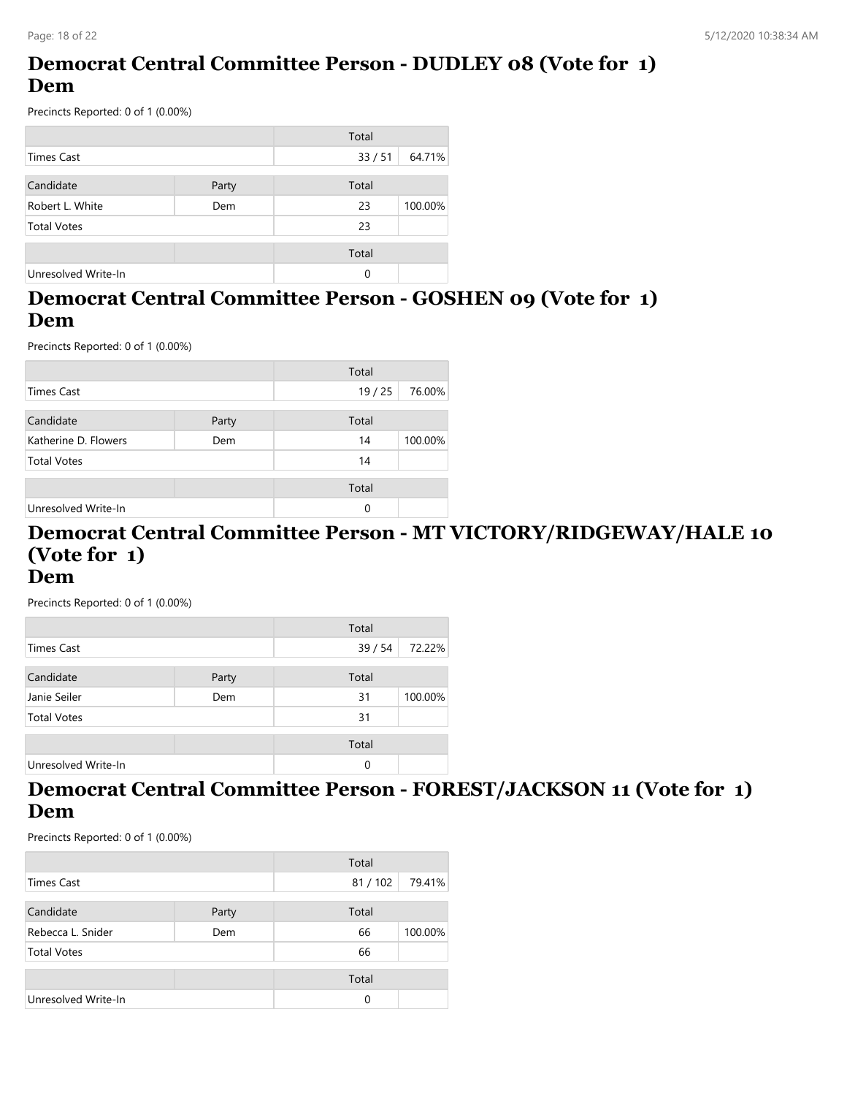# **Democrat Central Committee Person - DUDLEY 08 (Vote for 1) Dem**

Precincts Reported: 0 of 1 (0.00%)

|                     |       | Total |         |
|---------------------|-------|-------|---------|
| <b>Times Cast</b>   |       | 33/51 | 64.71%  |
|                     |       |       |         |
| Candidate           | Party | Total |         |
| Robert L. White     | Dem   | 23    | 100.00% |
| <b>Total Votes</b>  |       | 23    |         |
|                     |       | Total |         |
| Unresolved Write-In |       | 0     |         |

## **Democrat Central Committee Person - GOSHEN 09 (Vote for 1) Dem**

Precincts Reported: 0 of 1 (0.00%)

|                      |       | Total |         |
|----------------------|-------|-------|---------|
| <b>Times Cast</b>    |       | 19/25 | 76.00%  |
| Candidate            | Party | Total |         |
| Katherine D. Flowers | Dem   | 14    | 100.00% |
| <b>Total Votes</b>   |       | 14    |         |
|                      |       | Total |         |
| Unresolved Write-In  |       | 0     |         |

#### **Democrat Central Committee Person - MT VICTORY/RIDGEWAY/HALE 10 (Vote for 1) Dem**

Precincts Reported: 0 of 1 (0.00%)

|                     |       | Total |         |
|---------------------|-------|-------|---------|
| <b>Times Cast</b>   |       | 39/54 | 72.22%  |
|                     |       |       |         |
| Candidate           | Party | Total |         |
| Janie Seiler        | Dem   | 31    | 100.00% |
| <b>Total Votes</b>  |       | 31    |         |
|                     |       | Total |         |
|                     |       |       |         |
| Unresolved Write-In |       | 0     |         |

#### **Democrat Central Committee Person - FOREST/JACKSON 11 (Vote for 1) Dem**

|                          |       | Total    |         |
|--------------------------|-------|----------|---------|
| Times Cast               |       | 81/102   | 79.41%  |
| Candidate                | Party | Total    |         |
| Rebecca L. Snider<br>Dem |       | 66       | 100.00% |
| <b>Total Votes</b>       |       | 66       |         |
|                          |       | Total    |         |
| Unresolved Write-In      |       | $\Omega$ |         |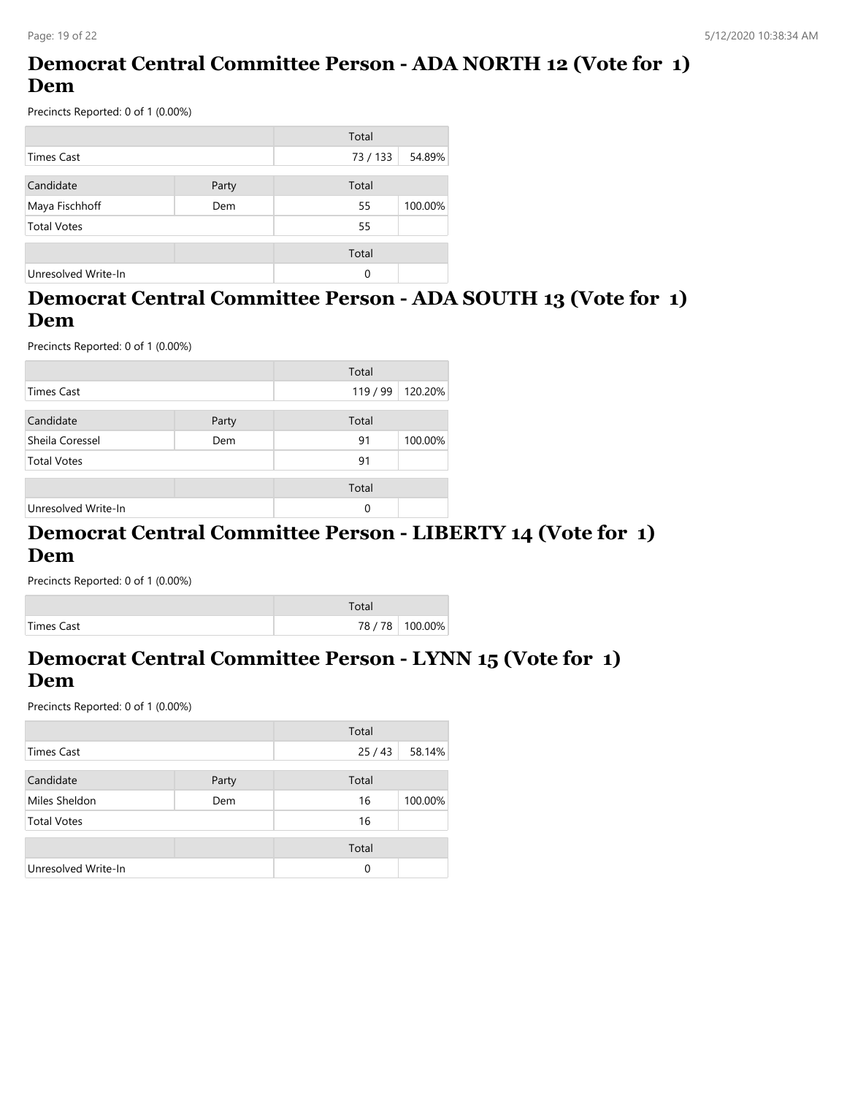# **Democrat Central Committee Person - ADA NORTH 12 (Vote for 1) Dem**

Precincts Reported: 0 of 1 (0.00%)

|                     |       | Total  |         |
|---------------------|-------|--------|---------|
| <b>Times Cast</b>   |       | 73/133 | 54.89%  |
| Candidate           | Party | Total  |         |
| Maya Fischhoff      | Dem   | 55     | 100.00% |
| <b>Total Votes</b>  |       | 55     |         |
|                     |       | Total  |         |
| Unresolved Write-In |       | 0      |         |

#### **Democrat Central Committee Person - ADA SOUTH 13 (Vote for 1) Dem**

Precincts Reported: 0 of 1 (0.00%)

|                     |       | Total  |         |
|---------------------|-------|--------|---------|
| <b>Times Cast</b>   |       | 119/99 | 120.20% |
| Candidate           | Party | Total  |         |
| Sheila Coressel     | Dem   | 91     | 100.00% |
| <b>Total Votes</b>  |       | 91     |         |
|                     |       | Total  |         |
| Unresolved Write-In |       | 0      |         |

#### **Democrat Central Committee Person - LIBERTY 14 (Vote for 1) Dem**

Precincts Reported: 0 of 1 (0.00%)

|            | Total |                   |
|------------|-------|-------------------|
| Times Cast |       | 78 / 78   100.00% |

#### **Democrat Central Committee Person - LYNN 15 (Vote for 1) Dem**

|                     |       | Total    |         |
|---------------------|-------|----------|---------|
| Times Cast          |       | 25/43    | 58.14%  |
| Candidate           | Party | Total    |         |
| Miles Sheldon       | Dem   | 16       | 100.00% |
| <b>Total Votes</b>  |       | 16       |         |
|                     |       | Total    |         |
| Unresolved Write-In |       | $\Omega$ |         |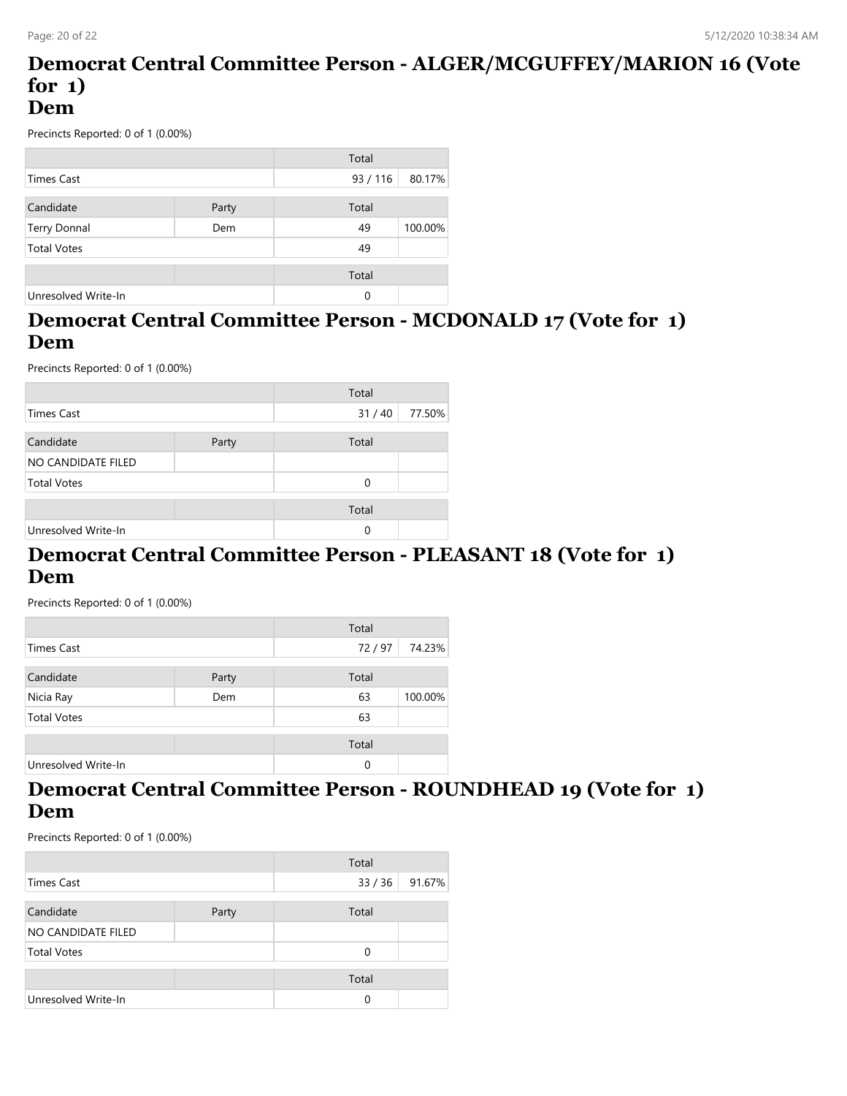#### **Democrat Central Committee Person - ALGER/MCGUFFEY/MARION 16 (Vote for 1) Dem**

Precincts Reported: 0 of 1 (0.00%)

|                     |       | Total  |         |
|---------------------|-------|--------|---------|
| Times Cast          |       | 93/116 | 80.17%  |
|                     |       |        |         |
| Candidate           | Party | Total  |         |
| Terry Donnal        | Dem   | 49     | 100.00% |
| <b>Total Votes</b>  |       | 49     |         |
|                     |       | Total  |         |
|                     |       |        |         |
| Unresolved Write-In |       | 0      |         |

## **Democrat Central Committee Person - MCDONALD 17 (Vote for 1) Dem**

Precincts Reported: 0 of 1 (0.00%)

|                     |       | Total |        |
|---------------------|-------|-------|--------|
| Times Cast          |       | 31/40 | 77.50% |
| Candidate           | Party | Total |        |
| NO CANDIDATE FILED  |       |       |        |
| <b>Total Votes</b>  |       | 0     |        |
|                     |       | Total |        |
| Unresolved Write-In |       | 0     |        |

#### **Democrat Central Committee Person - PLEASANT 18 (Vote for 1) Dem**

Precincts Reported: 0 of 1 (0.00%)

|                     |       | Total |         |
|---------------------|-------|-------|---------|
| Times Cast          |       | 72/97 | 74.23%  |
|                     |       |       |         |
| Candidate           | Party | Total |         |
| Nicia Ray           | Dem   | 63    | 100.00% |
| <b>Total Votes</b>  |       | 63    |         |
|                     |       | Total |         |
| Unresolved Write-In |       | 0     |         |

#### **Democrat Central Committee Person - ROUNDHEAD 19 (Vote for 1) Dem**

|                     |       | Total    |        |
|---------------------|-------|----------|--------|
| Times Cast          |       | 33/36    | 91.67% |
| Candidate           | Party | Total    |        |
| NO CANDIDATE FILED  |       |          |        |
| <b>Total Votes</b>  |       | $\Omega$ |        |
|                     |       | Total    |        |
| Unresolved Write-In |       | 0        |        |